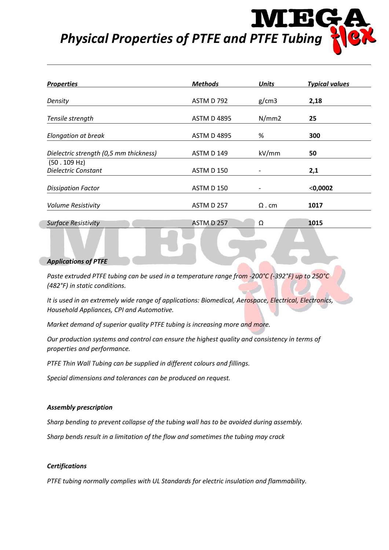# *Physical Properties of PTFE and PTFE Tubing*

| <b>Properties</b>                      | <b>Methods</b>     | <b>Units</b>                 | <b>Typical values</b> |
|----------------------------------------|--------------------|------------------------------|-----------------------|
| Density                                | ASTM D 792         | g/cm3                        | 2,18                  |
| Tensile strength                       | <b>ASTM D 4895</b> | N/mm2                        | 25                    |
| Elongation at break                    | <b>ASTM D 4895</b> | %                            | 300                   |
| Dielectric strength (0,5 mm thickness) | <b>ASTM D 149</b>  | kV/mm                        | 50                    |
| (50.109 Hz)                            |                    |                              |                       |
| Dielectric Constant                    | ASTM D 150         |                              | 2,1                   |
| <b>Dissipation Factor</b>              | <b>ASTM D 150</b>  | $\qquad \qquad \blacksquare$ | $<$ 0,0002            |
| <b>Volume Resistivity</b>              | ASTM D 257         | $\Omega$ . cm                | 1017                  |
| <b>Surface Resistivity</b>             | ASTM D 257         | Ω                            | 1015                  |

#### *Applications of PTFE*

*Paste extruded PTFE tubing can be used in a temperature range from -200°C (-392°F) up to 250°C (482°F) in static conditions.*

*It is used in an extremely wide range of applications: Biomedical, Aerospace, Electrical, Electronics, Household Appliances, CPI and Automotive.*

*Market demand of superior quality PTFE tubing is increasing more and more.*

*Our production systems and control can ensure the highest quality and consistency in terms of properties and performance.*

*PTFE Thin Wall Tubing can be supplied in different colours and fillings.*

*Special dimensions and tolerances can be produced on request.*

#### *Assembly prescription*

*Sharp bending to prevent collapse of the tubing wall has to be avoided during assembly.*

*Sharp bends result in a limitation of the flow and sometimes the tubing may crack*

#### *Certifications*

*PTFE tubing normally complies with UL Standards for electric insulation and flammability.*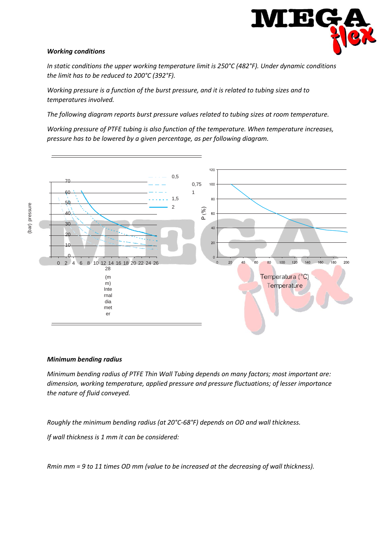

## *Working conditions*

*In static conditions the upper working temperature limit is 250°C (482°F). Under dynamic conditions the limit has to be reduced to 200°C (392°F).*

*Working pressure is a function of the burst pressure, and it is related to tubing sizes and to temperatures involved.*

*The following diagram reports burst pressure values related to tubing sizes at room temperature.*

*Working pressure of PTFE tubing is also function of the temperature. When temperature increases, pressure has to be lowered by a given percentage, as per following diagram.*



## *Minimum bending radius*

*Minimum bending radius of PTFE Thin Wall Tubing depends on many factors; most important are: dimension, working temperature, applied pressure and pressure fluctuations; of lesser importance the nature of fluid conveyed.*

*Roughly the minimum bending radius (at 20°C-68°F) depends on OD and wall thickness.*

*If wall thickness is 1 mm it can be considered:*

*Rmin mm = 9 to 11 times OD mm (value to be increased at the decreasing of wall thickness).*